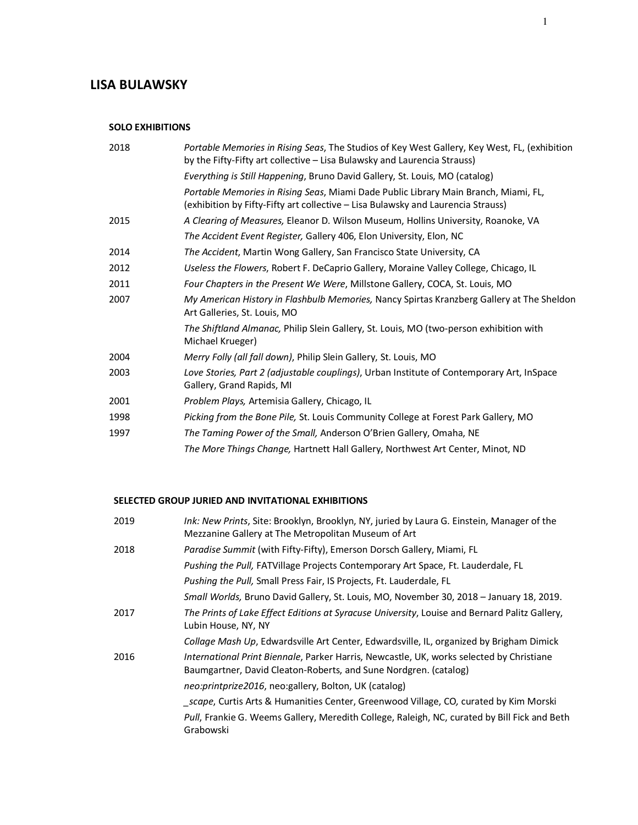# **LISA BULAWSKY**

### **SOLO EXHIBITIONS**

| 2018 | Portable Memories in Rising Seas, The Studios of Key West Gallery, Key West, FL, (exhibition<br>by the Fifty-Fifty art collective – Lisa Bulawsky and Laurencia Strauss) |
|------|--------------------------------------------------------------------------------------------------------------------------------------------------------------------------|
|      | Everything is Still Happening, Bruno David Gallery, St. Louis, MO (catalog)                                                                                              |
|      | Portable Memories in Rising Seas, Miami Dade Public Library Main Branch, Miami, FL,<br>(exhibition by Fifty-Fifty art collective – Lisa Bulawsky and Laurencia Strauss)  |
| 2015 | A Clearing of Measures, Eleanor D. Wilson Museum, Hollins University, Roanoke, VA                                                                                        |
|      | The Accident Event Register, Gallery 406, Elon University, Elon, NC                                                                                                      |
| 2014 | The Accident, Martin Wong Gallery, San Francisco State University, CA                                                                                                    |
| 2012 | Useless the Flowers, Robert F. DeCaprio Gallery, Moraine Valley College, Chicago, IL                                                                                     |
| 2011 | Four Chapters in the Present We Were, Millstone Gallery, COCA, St. Louis, MO                                                                                             |
| 2007 | My American History in Flashbulb Memories, Nancy Spirtas Kranzberg Gallery at The Sheldon<br>Art Galleries, St. Louis, MO                                                |
|      | The Shiftland Almanac, Philip Slein Gallery, St. Louis, MO (two-person exhibition with<br>Michael Krueger)                                                               |
| 2004 | Merry Folly (all fall down), Philip Slein Gallery, St. Louis, MO                                                                                                         |
| 2003 | Love Stories, Part 2 (adjustable couplings), Urban Institute of Contemporary Art, InSpace<br>Gallery, Grand Rapids, MI                                                   |
| 2001 | <i>Problem Plays, Artemisia Gallery, Chicago, IL</i>                                                                                                                     |
| 1998 | Picking from the Bone Pile, St. Louis Community College at Forest Park Gallery, MO                                                                                       |
| 1997 | The Taming Power of the Small, Anderson O'Brien Gallery, Omaha, NE                                                                                                       |
|      | The More Things Change, Hartnett Hall Gallery, Northwest Art Center, Minot, ND                                                                                           |

## **SELECTED GROUP JURIED AND INVITATIONAL EXHIBITIONS**

| 2019 | Ink: New Prints, Site: Brooklyn, Brooklyn, NY, juried by Laura G. Einstein, Manager of the<br>Mezzanine Gallery at The Metropolitan Museum of Art            |
|------|--------------------------------------------------------------------------------------------------------------------------------------------------------------|
| 2018 | Paradise Summit (with Fifty-Fifty), Emerson Dorsch Gallery, Miami, FL                                                                                        |
|      | <i>Pushing the Pull, FATVillage Projects Contemporary Art Space, Ft. Lauderdale, FL</i>                                                                      |
|      | <i>Pushing the Pull, Small Press Fair, IS Projects, Ft. Lauderdale, FL</i>                                                                                   |
|      | Small Worlds, Bruno David Gallery, St. Louis, MO, November 30, 2018 - January 18, 2019.                                                                      |
| 2017 | The Prints of Lake Effect Editions at Syracuse University, Louise and Bernard Palitz Gallery,<br>Lubin House, NY, NY                                         |
|      | Collage Mash Up, Edwardsville Art Center, Edwardsville, IL, organized by Brigham Dimick                                                                      |
| 2016 | International Print Biennale, Parker Harris, Newcastle, UK, works selected by Christiane<br>Baumgartner, David Cleaton-Roberts, and Sune Nordgren. (catalog) |
|      | neo:printprize2016, neo:gallery, Bolton, UK (catalog)                                                                                                        |
|      | scape, Curtis Arts & Humanities Center, Greenwood Village, CO, curated by Kim Morski                                                                         |
|      | Pull, Frankie G. Weems Gallery, Meredith College, Raleigh, NC, curated by Bill Fick and Beth<br>Grabowski                                                    |
|      |                                                                                                                                                              |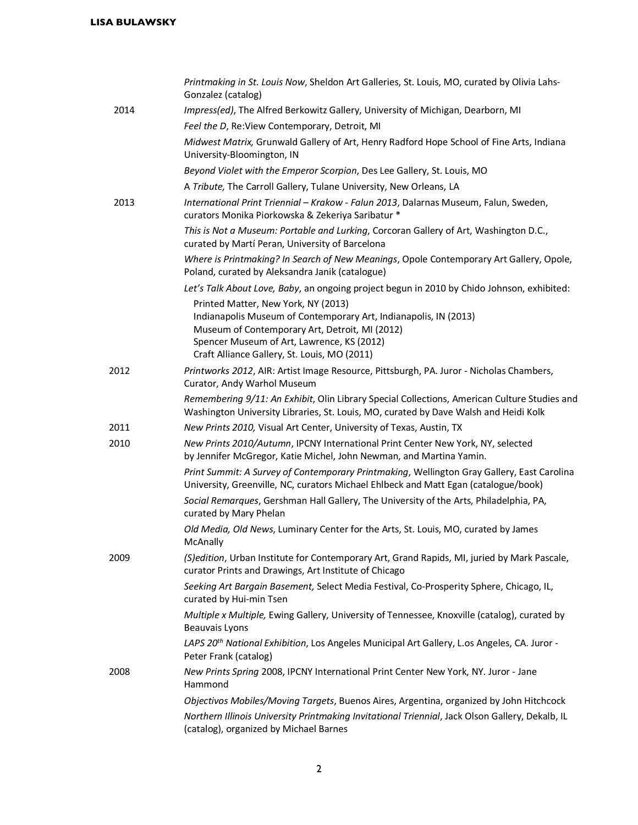|      | Printmaking in St. Louis Now, Sheldon Art Galleries, St. Louis, MO, curated by Olivia Lahs-<br>Gonzalez (catalog)                                                                                                                                       |
|------|---------------------------------------------------------------------------------------------------------------------------------------------------------------------------------------------------------------------------------------------------------|
| 2014 | Impress(ed), The Alfred Berkowitz Gallery, University of Michigan, Dearborn, MI                                                                                                                                                                         |
|      | Feel the D, Re: View Contemporary, Detroit, MI                                                                                                                                                                                                          |
|      | Midwest Matrix, Grunwald Gallery of Art, Henry Radford Hope School of Fine Arts, Indiana<br>University-Bloomington, IN                                                                                                                                  |
|      | Beyond Violet with the Emperor Scorpion, Des Lee Gallery, St. Louis, MO                                                                                                                                                                                 |
|      | A Tribute, The Carroll Gallery, Tulane University, New Orleans, LA                                                                                                                                                                                      |
| 2013 | International Print Triennial - Krakow - Falun 2013, Dalarnas Museum, Falun, Sweden,<br>curators Monika Piorkowska & Zekeriya Saribatur *                                                                                                               |
|      | This is Not a Museum: Portable and Lurking, Corcoran Gallery of Art, Washington D.C.,<br>curated by Martí Peran, University of Barcelona                                                                                                                |
|      | Where is Printmaking? In Search of New Meanings, Opole Contemporary Art Gallery, Opole,<br>Poland, curated by Aleksandra Janik (catalogue)                                                                                                              |
|      | Let's Talk About Love, Baby, an ongoing project begun in 2010 by Chido Johnson, exhibited:                                                                                                                                                              |
|      | Printed Matter, New York, NY (2013)<br>Indianapolis Museum of Contemporary Art, Indianapolis, IN (2013)<br>Museum of Contemporary Art, Detroit, MI (2012)<br>Spencer Museum of Art, Lawrence, KS (2012)<br>Craft Alliance Gallery, St. Louis, MO (2011) |
| 2012 | Printworks 2012, AIR: Artist Image Resource, Pittsburgh, PA. Juror - Nicholas Chambers,<br>Curator, Andy Warhol Museum                                                                                                                                  |
|      | Remembering 9/11: An Exhibit, Olin Library Special Collections, American Culture Studies and<br>Washington University Libraries, St. Louis, MO, curated by Dave Walsh and Heidi Kolk                                                                    |
| 2011 | New Prints 2010, Visual Art Center, University of Texas, Austin, TX                                                                                                                                                                                     |
| 2010 | New Prints 2010/Autumn, IPCNY International Print Center New York, NY, selected<br>by Jennifer McGregor, Katie Michel, John Newman, and Martina Yamin.                                                                                                  |
|      | Print Summit: A Survey of Contemporary Printmaking, Wellington Gray Gallery, East Carolina<br>University, Greenville, NC, curators Michael Ehlbeck and Matt Egan (catalogue/book)                                                                       |
|      | Social Remarques, Gershman Hall Gallery, The University of the Arts, Philadelphia, PA,<br>curated by Mary Phelan                                                                                                                                        |
|      | Old Media, Old News, Luminary Center for the Arts, St. Louis, MO, curated by James<br>McAnally                                                                                                                                                          |
| 2009 | (S)edition, Urban Institute for Contemporary Art, Grand Rapids, MI, juried by Mark Pascale,<br>curator Prints and Drawings, Art Institute of Chicago                                                                                                    |
|      | Seeking Art Bargain Basement, Select Media Festival, Co-Prosperity Sphere, Chicago, IL,<br>curated by Hui-min Tsen                                                                                                                                      |
|      | Multiple x Multiple, Ewing Gallery, University of Tennessee, Knoxville (catalog), curated by<br><b>Beauvais Lyons</b>                                                                                                                                   |
|      | LAPS 20 <sup>th</sup> National Exhibition, Los Angeles Municipal Art Gallery, L.os Angeles, CA. Juror -<br>Peter Frank (catalog)                                                                                                                        |
| 2008 | New Prints Spring 2008, IPCNY International Print Center New York, NY. Juror - Jane<br>Hammond                                                                                                                                                          |
|      | Objectivos Mobiles/Moving Targets, Buenos Aires, Argentina, organized by John Hitchcock                                                                                                                                                                 |
|      | Northern Illinois University Printmaking Invitational Triennial, Jack Olson Gallery, Dekalb, IL<br>(catalog), organized by Michael Barnes                                                                                                               |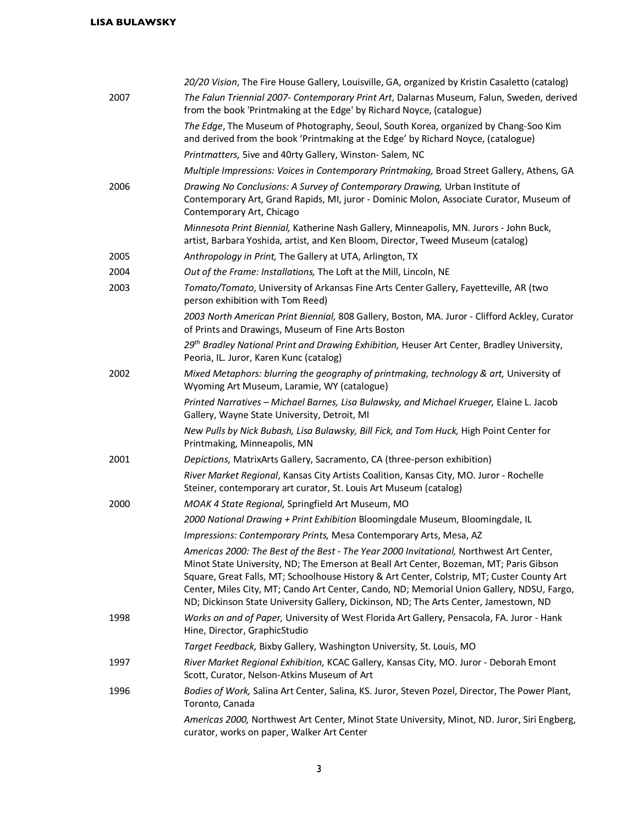|      | 20/20 Vision, The Fire House Gallery, Louisville, GA, organized by Kristin Casaletto (catalog)                                                                                                                                                                                                                                                                                                                                                                        |
|------|-----------------------------------------------------------------------------------------------------------------------------------------------------------------------------------------------------------------------------------------------------------------------------------------------------------------------------------------------------------------------------------------------------------------------------------------------------------------------|
| 2007 | The Falun Triennial 2007- Contemporary Print Art, Dalarnas Museum, Falun, Sweden, derived<br>from the book 'Printmaking at the Edge' by Richard Noyce, (catalogue)                                                                                                                                                                                                                                                                                                    |
|      | The Edge, The Museum of Photography, Seoul, South Korea, organized by Chang-Soo Kim<br>and derived from the book 'Printmaking at the Edge' by Richard Noyce, (catalogue)                                                                                                                                                                                                                                                                                              |
|      | Printmatters, 5ive and 40rty Gallery, Winston-Salem, NC                                                                                                                                                                                                                                                                                                                                                                                                               |
|      | Multiple Impressions: Voices in Contemporary Printmaking, Broad Street Gallery, Athens, GA                                                                                                                                                                                                                                                                                                                                                                            |
| 2006 | Drawing No Conclusions: A Survey of Contemporary Drawing, Urban Institute of<br>Contemporary Art, Grand Rapids, MI, juror - Dominic Molon, Associate Curator, Museum of<br>Contemporary Art, Chicago                                                                                                                                                                                                                                                                  |
|      | Minnesota Print Biennial, Katherine Nash Gallery, Minneapolis, MN. Jurors - John Buck,<br>artist, Barbara Yoshida, artist, and Ken Bloom, Director, Tweed Museum (catalog)                                                                                                                                                                                                                                                                                            |
| 2005 | Anthropology in Print, The Gallery at UTA, Arlington, TX                                                                                                                                                                                                                                                                                                                                                                                                              |
| 2004 | Out of the Frame: Installations, The Loft at the Mill, Lincoln, NE                                                                                                                                                                                                                                                                                                                                                                                                    |
| 2003 | Tomato/Tomato, University of Arkansas Fine Arts Center Gallery, Fayetteville, AR (two<br>person exhibition with Tom Reed)                                                                                                                                                                                                                                                                                                                                             |
|      | 2003 North American Print Biennial, 808 Gallery, Boston, MA. Juror - Clifford Ackley, Curator<br>of Prints and Drawings, Museum of Fine Arts Boston                                                                                                                                                                                                                                                                                                                   |
|      | 29th Bradley National Print and Drawing Exhibition, Heuser Art Center, Bradley University,<br>Peoria, IL. Juror, Karen Kunc (catalog)                                                                                                                                                                                                                                                                                                                                 |
| 2002 | Mixed Metaphors: blurring the geography of printmaking, technology & art, University of<br>Wyoming Art Museum, Laramie, WY (catalogue)                                                                                                                                                                                                                                                                                                                                |
|      | Printed Narratives - Michael Barnes, Lisa Bulawsky, and Michael Krueger, Elaine L. Jacob<br>Gallery, Wayne State University, Detroit, MI                                                                                                                                                                                                                                                                                                                              |
|      | New Pulls by Nick Bubash, Lisa Bulawsky, Bill Fick, and Tom Huck, High Point Center for<br>Printmaking, Minneapolis, MN                                                                                                                                                                                                                                                                                                                                               |
| 2001 | Depictions, MatrixArts Gallery, Sacramento, CA (three-person exhibition)                                                                                                                                                                                                                                                                                                                                                                                              |
|      | River Market Regional, Kansas City Artists Coalition, Kansas City, MO. Juror - Rochelle<br>Steiner, contemporary art curator, St. Louis Art Museum (catalog)                                                                                                                                                                                                                                                                                                          |
| 2000 | MOAK 4 State Regional, Springfield Art Museum, MO                                                                                                                                                                                                                                                                                                                                                                                                                     |
|      | 2000 National Drawing + Print Exhibition Bloomingdale Museum, Bloomingdale, IL                                                                                                                                                                                                                                                                                                                                                                                        |
|      | Impressions: Contemporary Prints, Mesa Contemporary Arts, Mesa, AZ                                                                                                                                                                                                                                                                                                                                                                                                    |
|      | Americas 2000: The Best of the Best - The Year 2000 Invitational, Northwest Art Center,<br>Minot State University, ND; The Emerson at Beall Art Center, Bozeman, MT; Paris Gibson<br>Square, Great Falls, MT; Schoolhouse History & Art Center, Colstrip, MT; Custer County Art<br>Center, Miles City, MT; Cando Art Center, Cando, ND; Memorial Union Gallery, NDSU, Fargo,<br>ND; Dickinson State University Gallery, Dickinson, ND; The Arts Center, Jamestown, ND |
| 1998 | Works on and of Paper, University of West Florida Art Gallery, Pensacola, FA. Juror - Hank<br>Hine, Director, GraphicStudio                                                                                                                                                                                                                                                                                                                                           |
|      | Target Feedback, Bixby Gallery, Washington University, St. Louis, MO                                                                                                                                                                                                                                                                                                                                                                                                  |
| 1997 | River Market Regional Exhibition, KCAC Gallery, Kansas City, MO. Juror - Deborah Emont<br>Scott, Curator, Nelson-Atkins Museum of Art                                                                                                                                                                                                                                                                                                                                 |
| 1996 | Bodies of Work, Salina Art Center, Salina, KS. Juror, Steven Pozel, Director, The Power Plant,<br>Toronto, Canada                                                                                                                                                                                                                                                                                                                                                     |
|      | Americas 2000, Northwest Art Center, Minot State University, Minot, ND. Juror, Siri Engberg,<br>curator, works on paper, Walker Art Center                                                                                                                                                                                                                                                                                                                            |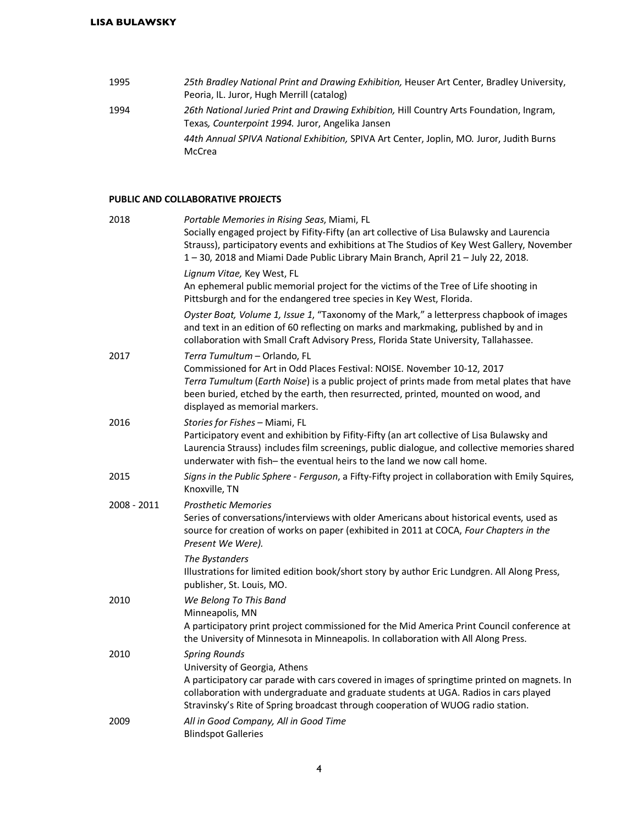| 1995 | 25th Bradley National Print and Drawing Exhibition, Heuser Art Center, Bradley University, |
|------|--------------------------------------------------------------------------------------------|
|      | Peoria, IL. Juror, Hugh Merrill (catalog)                                                  |
| 1994 | 26th National Juried Print and Drawing Exhibition, Hill Country Arts Foundation, Ingram,   |
|      | Texas, Counterpoint 1994. Juror, Angelika Jansen                                           |
|      | 44th Annual SPIVA National Exhibition, SPIVA Art Center, Joplin, MO. Juror, Judith Burns   |
|      | McCrea                                                                                     |

### **PUBLIC AND COLLABORATIVE PROJECTS**

| 2018        | Portable Memories in Rising Seas, Miami, FL<br>Socially engaged project by Fifity-Fifty (an art collective of Lisa Bulawsky and Laurencia<br>Strauss), participatory events and exhibitions at The Studios of Key West Gallery, November<br>1-30, 2018 and Miami Dade Public Library Main Branch, April 21-July 22, 2018.        |
|-------------|----------------------------------------------------------------------------------------------------------------------------------------------------------------------------------------------------------------------------------------------------------------------------------------------------------------------------------|
|             | Lignum Vitae, Key West, FL<br>An ephemeral public memorial project for the victims of the Tree of Life shooting in<br>Pittsburgh and for the endangered tree species in Key West, Florida.                                                                                                                                       |
|             | Oyster Boat, Volume 1, Issue 1, "Taxonomy of the Mark," a letterpress chapbook of images<br>and text in an edition of 60 reflecting on marks and markmaking, published by and in<br>collaboration with Small Craft Advisory Press, Florida State University, Tallahassee.                                                        |
| 2017        | Terra Tumultum - Orlando, FL<br>Commissioned for Art in Odd Places Festival: NOISE. November 10-12, 2017<br>Terra Tumultum (Earth Noise) is a public project of prints made from metal plates that have<br>been buried, etched by the earth, then resurrected, printed, mounted on wood, and<br>displayed as memorial markers.   |
| 2016        | Stories for Fishes - Miami, FL<br>Participatory event and exhibition by Fifity-Fifty (an art collective of Lisa Bulawsky and<br>Laurencia Strauss) includes film screenings, public dialogue, and collective memories shared<br>underwater with fish-the eventual heirs to the land we now call home.                            |
| 2015        | Signs in the Public Sphere - Ferguson, a Fifty-Fifty project in collaboration with Emily Squires,<br>Knoxville, TN                                                                                                                                                                                                               |
| 2008 - 2011 | <b>Prosthetic Memories</b><br>Series of conversations/interviews with older Americans about historical events, used as<br>source for creation of works on paper (exhibited in 2011 at COCA, Four Chapters in the<br>Present We Were).                                                                                            |
|             | The Bystanders<br>Illustrations for limited edition book/short story by author Eric Lundgren. All Along Press,<br>publisher, St. Louis, MO.                                                                                                                                                                                      |
| 2010        | We Belong To This Band<br>Minneapolis, MN                                                                                                                                                                                                                                                                                        |
|             | A participatory print project commissioned for the Mid America Print Council conference at<br>the University of Minnesota in Minneapolis. In collaboration with All Along Press.                                                                                                                                                 |
| 2010        | <b>Spring Rounds</b><br>University of Georgia, Athens<br>A participatory car parade with cars covered in images of springtime printed on magnets. In<br>collaboration with undergraduate and graduate students at UGA. Radios in cars played<br>Stravinsky's Rite of Spring broadcast through cooperation of WUOG radio station. |
| 2009        | All in Good Company, All in Good Time<br><b>Blindspot Galleries</b>                                                                                                                                                                                                                                                              |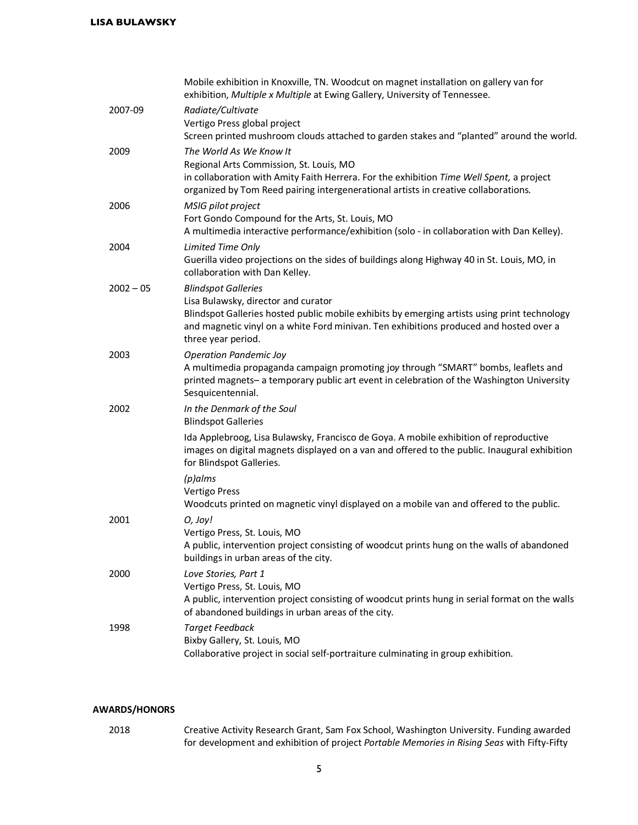|             | Mobile exhibition in Knoxville, TN. Woodcut on magnet installation on gallery van for<br>exhibition, Multiple x Multiple at Ewing Gallery, University of Tennessee.                                                                                                               |
|-------------|-----------------------------------------------------------------------------------------------------------------------------------------------------------------------------------------------------------------------------------------------------------------------------------|
| 2007-09     | Radiate/Cultivate<br>Vertigo Press global project<br>Screen printed mushroom clouds attached to garden stakes and "planted" around the world.                                                                                                                                     |
| 2009        | The World As We Know It<br>Regional Arts Commission, St. Louis, MO<br>in collaboration with Amity Faith Herrera. For the exhibition Time Well Spent, a project<br>organized by Tom Reed pairing intergenerational artists in creative collaborations.                             |
| 2006        | MSIG pilot project<br>Fort Gondo Compound for the Arts, St. Louis, MO<br>A multimedia interactive performance/exhibition (solo - in collaboration with Dan Kelley).                                                                                                               |
| 2004        | Limited Time Only<br>Guerilla video projections on the sides of buildings along Highway 40 in St. Louis, MO, in<br>collaboration with Dan Kelley.                                                                                                                                 |
| $2002 - 05$ | <b>Blindspot Galleries</b><br>Lisa Bulawsky, director and curator<br>Blindspot Galleries hosted public mobile exhibits by emerging artists using print technology<br>and magnetic vinyl on a white Ford minivan. Ten exhibitions produced and hosted over a<br>three year period. |
| 2003        | <b>Operation Pandemic Joy</b><br>A multimedia propaganda campaign promoting joy through "SMART" bombs, leaflets and<br>printed magnets- a temporary public art event in celebration of the Washington University<br>Sesquicentennial.                                             |
| 2002        | In the Denmark of the Soul<br><b>Blindspot Galleries</b>                                                                                                                                                                                                                          |
|             | Ida Applebroog, Lisa Bulawsky, Francisco de Goya. A mobile exhibition of reproductive<br>images on digital magnets displayed on a van and offered to the public. Inaugural exhibition<br>for Blindspot Galleries.                                                                 |
|             | $(p)$ alms<br><b>Vertigo Press</b><br>Woodcuts printed on magnetic vinyl displayed on a mobile van and offered to the public.                                                                                                                                                     |
| 2001        | O, Joy!<br>Vertigo Press, St. Louis, MO<br>A public, intervention project consisting of woodcut prints hung on the walls of abandoned<br>buildings in urban areas of the city.                                                                                                    |
| 2000        | Love Stories, Part 1<br>Vertigo Press, St. Louis, MO<br>A public, intervention project consisting of woodcut prints hung in serial format on the walls<br>of abandoned buildings in urban areas of the city.                                                                      |
| 1998        | <b>Target Feedback</b><br>Bixby Gallery, St. Louis, MO<br>Collaborative project in social self-portraiture culminating in group exhibition.                                                                                                                                       |

### **AWARDS/HONORS**

2018 Creative Activity Research Grant, Sam Fox School, Washington University. Funding awarded for development and exhibition of project *Portable Memories in Rising Seas* with Fifty-Fifty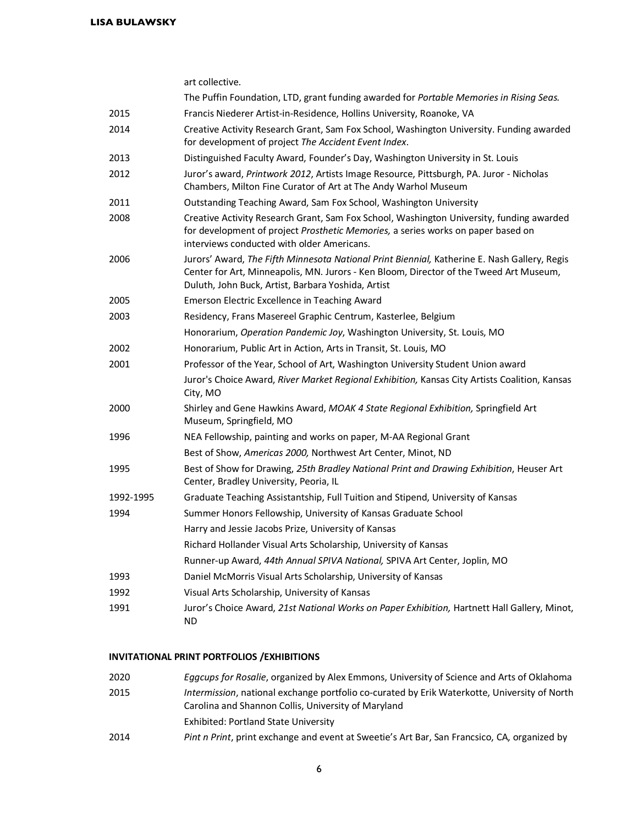|           | art collective.                                                                                                                                                                                                                              |
|-----------|----------------------------------------------------------------------------------------------------------------------------------------------------------------------------------------------------------------------------------------------|
|           | The Puffin Foundation, LTD, grant funding awarded for Portable Memories in Rising Seas.                                                                                                                                                      |
| 2015      | Francis Niederer Artist-in-Residence, Hollins University, Roanoke, VA                                                                                                                                                                        |
| 2014      | Creative Activity Research Grant, Sam Fox School, Washington University. Funding awarded<br>for development of project The Accident Event Index.                                                                                             |
| 2013      | Distinguished Faculty Award, Founder's Day, Washington University in St. Louis                                                                                                                                                               |
| 2012      | Juror's award, Printwork 2012, Artists Image Resource, Pittsburgh, PA. Juror - Nicholas<br>Chambers, Milton Fine Curator of Art at The Andy Warhol Museum                                                                                    |
| 2011      | Outstanding Teaching Award, Sam Fox School, Washington University                                                                                                                                                                            |
| 2008      | Creative Activity Research Grant, Sam Fox School, Washington University, funding awarded<br>for development of project Prosthetic Memories, a series works on paper based on<br>interviews conducted with older Americans.                   |
| 2006      | Jurors' Award, The Fifth Minnesota National Print Biennial, Katherine E. Nash Gallery, Regis<br>Center for Art, Minneapolis, MN. Jurors - Ken Bloom, Director of the Tweed Art Museum,<br>Duluth, John Buck, Artist, Barbara Yoshida, Artist |
| 2005      | Emerson Electric Excellence in Teaching Award                                                                                                                                                                                                |
| 2003      | Residency, Frans Masereel Graphic Centrum, Kasterlee, Belgium                                                                                                                                                                                |
|           | Honorarium, Operation Pandemic Joy, Washington University, St. Louis, MO                                                                                                                                                                     |
| 2002      | Honorarium, Public Art in Action, Arts in Transit, St. Louis, MO                                                                                                                                                                             |
| 2001      | Professor of the Year, School of Art, Washington University Student Union award                                                                                                                                                              |
|           | Juror's Choice Award, River Market Regional Exhibition, Kansas City Artists Coalition, Kansas<br>City, MO                                                                                                                                    |
| 2000      | Shirley and Gene Hawkins Award, MOAK 4 State Regional Exhibition, Springfield Art<br>Museum, Springfield, MO                                                                                                                                 |
| 1996      | NEA Fellowship, painting and works on paper, M-AA Regional Grant                                                                                                                                                                             |
|           | Best of Show, Americas 2000, Northwest Art Center, Minot, ND                                                                                                                                                                                 |
| 1995      | Best of Show for Drawing, 25th Bradley National Print and Drawing Exhibition, Heuser Art<br>Center, Bradley University, Peoria, IL                                                                                                           |
| 1992-1995 | Graduate Teaching Assistantship, Full Tuition and Stipend, University of Kansas                                                                                                                                                              |
| 1994      | Summer Honors Fellowship, University of Kansas Graduate School                                                                                                                                                                               |
|           | Harry and Jessie Jacobs Prize, University of Kansas                                                                                                                                                                                          |
|           | Richard Hollander Visual Arts Scholarship, University of Kansas                                                                                                                                                                              |
|           | Runner-up Award, 44th Annual SPIVA National, SPIVA Art Center, Joplin, MO                                                                                                                                                                    |
| 1993      | Daniel McMorris Visual Arts Scholarship, University of Kansas                                                                                                                                                                                |
| 1992      | Visual Arts Scholarship, University of Kansas                                                                                                                                                                                                |
| 1991      | Juror's Choice Award, 21st National Works on Paper Exhibition, Hartnett Hall Gallery, Minot,<br><b>ND</b>                                                                                                                                    |

## **INVITATIONAL PRINT PORTFOLIOS /EXHIBITIONS**

| 2020 | Eggcups for Rosalie, organized by Alex Emmons, University of Science and Arts of Oklahoma                                                           |
|------|-----------------------------------------------------------------------------------------------------------------------------------------------------|
| 2015 | Intermission, national exchange portfolio co-curated by Erik Waterkotte, University of North<br>Carolina and Shannon Collis, University of Maryland |
|      | Exhibited: Portland State University                                                                                                                |
|      |                                                                                                                                                     |
| 2014 | Pint n Print, print exchange and event at Sweetie's Art Bar, San Francsico, CA, organized by                                                        |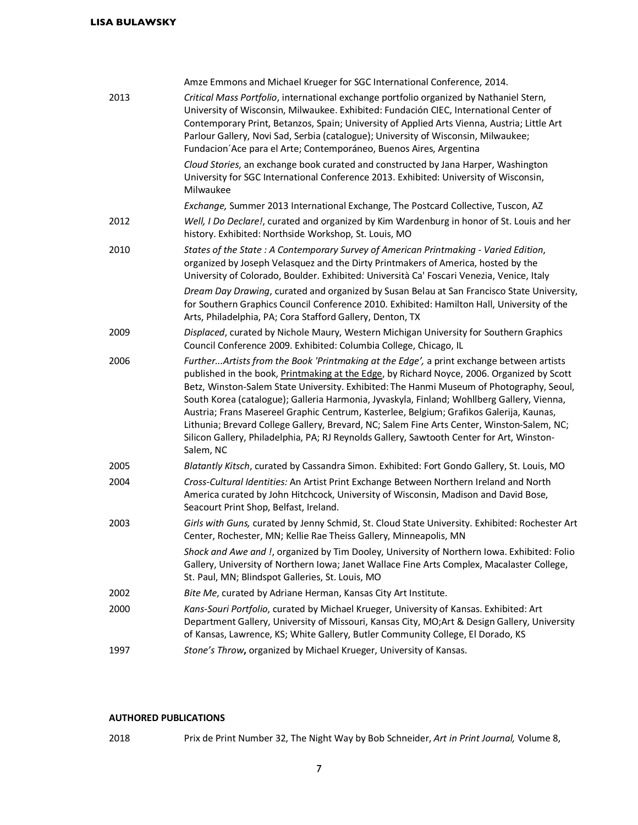|      | Amze Emmons and Michael Krueger for SGC International Conference, 2014.                                                                                                                                                                                                                                                                                                                                                                                                                                                                                                                                                                                                             |
|------|-------------------------------------------------------------------------------------------------------------------------------------------------------------------------------------------------------------------------------------------------------------------------------------------------------------------------------------------------------------------------------------------------------------------------------------------------------------------------------------------------------------------------------------------------------------------------------------------------------------------------------------------------------------------------------------|
| 2013 | Critical Mass Portfolio, international exchange portfolio organized by Nathaniel Stern,<br>University of Wisconsin, Milwaukee. Exhibited: Fundación CIEC, International Center of<br>Contemporary Print, Betanzos, Spain; University of Applied Arts Vienna, Austria; Little Art<br>Parlour Gallery, Novi Sad, Serbia (catalogue); University of Wisconsin, Milwaukee;<br>Fundacion Ace para el Arte; Contemporáneo, Buenos Aires, Argentina                                                                                                                                                                                                                                        |
|      | Cloud Stories, an exchange book curated and constructed by Jana Harper, Washington<br>University for SGC International Conference 2013. Exhibited: University of Wisconsin,<br>Milwaukee                                                                                                                                                                                                                                                                                                                                                                                                                                                                                            |
|      | Exchange, Summer 2013 International Exchange, The Postcard Collective, Tuscon, AZ                                                                                                                                                                                                                                                                                                                                                                                                                                                                                                                                                                                                   |
| 2012 | Well, I Do Declare!, curated and organized by Kim Wardenburg in honor of St. Louis and her<br>history. Exhibited: Northside Workshop, St. Louis, MO                                                                                                                                                                                                                                                                                                                                                                                                                                                                                                                                 |
| 2010 | States of the State : A Contemporary Survey of American Printmaking - Varied Edition,<br>organized by Joseph Velasquez and the Dirty Printmakers of America, hosted by the<br>University of Colorado, Boulder. Exhibited: Università Ca' Foscari Venezia, Venice, Italy                                                                                                                                                                                                                                                                                                                                                                                                             |
|      | Dream Day Drawing, curated and organized by Susan Belau at San Francisco State University,<br>for Southern Graphics Council Conference 2010. Exhibited: Hamilton Hall, University of the<br>Arts, Philadelphia, PA; Cora Stafford Gallery, Denton, TX                                                                                                                                                                                                                                                                                                                                                                                                                               |
| 2009 | Displaced, curated by Nichole Maury, Western Michigan University for Southern Graphics<br>Council Conference 2009. Exhibited: Columbia College, Chicago, IL                                                                                                                                                                                                                                                                                                                                                                                                                                                                                                                         |
| 2006 | FurtherArtists from the Book 'Printmaking at the Edge', a print exchange between artists<br>published in the book, Printmaking at the Edge, by Richard Noyce, 2006. Organized by Scott<br>Betz, Winston-Salem State University. Exhibited: The Hanmi Museum of Photography, Seoul,<br>South Korea (catalogue); Galleria Harmonia, Jyvaskyla, Finland; Wohllberg Gallery, Vienna,<br>Austria; Frans Masereel Graphic Centrum, Kasterlee, Belgium; Grafikos Galerija, Kaunas,<br>Lithunia; Brevard College Gallery, Brevard, NC; Salem Fine Arts Center, Winston-Salem, NC;<br>Silicon Gallery, Philadelphia, PA; RJ Reynolds Gallery, Sawtooth Center for Art, Winston-<br>Salem, NC |
| 2005 | Blatantly Kitsch, curated by Cassandra Simon. Exhibited: Fort Gondo Gallery, St. Louis, MO                                                                                                                                                                                                                                                                                                                                                                                                                                                                                                                                                                                          |
| 2004 | Cross-Cultural Identities: An Artist Print Exchange Between Northern Ireland and North<br>America curated by John Hitchcock, University of Wisconsin, Madison and David Bose,<br>Seacourt Print Shop, Belfast, Ireland.                                                                                                                                                                                                                                                                                                                                                                                                                                                             |
| 2003 | Girls with Guns, curated by Jenny Schmid, St. Cloud State University. Exhibited: Rochester Art<br>Center, Rochester, MN; Kellie Rae Theiss Gallery, Minneapolis, MN                                                                                                                                                                                                                                                                                                                                                                                                                                                                                                                 |
|      | Shock and Awe and !, organized by Tim Dooley, University of Northern Iowa. Exhibited: Folio<br>Gallery, University of Northern Iowa; Janet Wallace Fine Arts Complex, Macalaster College,<br>St. Paul, MN; Blindspot Galleries, St. Louis, MO                                                                                                                                                                                                                                                                                                                                                                                                                                       |
| 2002 | Bite Me, curated by Adriane Herman, Kansas City Art Institute.                                                                                                                                                                                                                                                                                                                                                                                                                                                                                                                                                                                                                      |
| 2000 | Kans-Souri Portfolio, curated by Michael Krueger, University of Kansas. Exhibited: Art<br>Department Gallery, University of Missouri, Kansas City, MO;Art & Design Gallery, University<br>of Kansas, Lawrence, KS; White Gallery, Butler Community College, El Dorado, KS                                                                                                                                                                                                                                                                                                                                                                                                           |
| 1997 | Stone's Throw, organized by Michael Krueger, University of Kansas.                                                                                                                                                                                                                                                                                                                                                                                                                                                                                                                                                                                                                  |

## **AUTHORED PUBLICATIONS**

2018 Prix de Print Number 32, The Night Way by Bob Schneider, *Art in Print Journal,* Volume 8,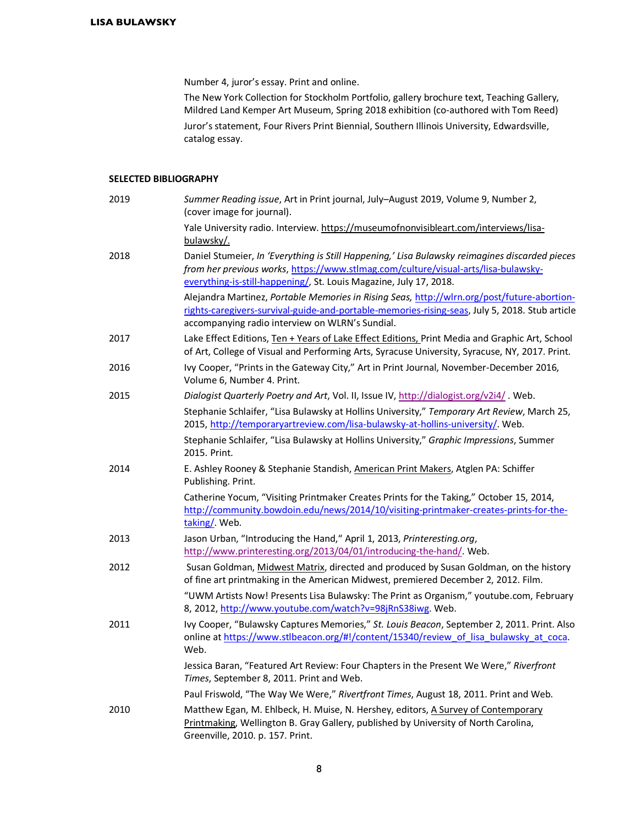Number 4, juror's essay. Print and online.

The New York Collection for Stockholm Portfolio, gallery brochure text, Teaching Gallery, Mildred Land Kemper Art Museum, Spring 2018 exhibition (co-authored with Tom Reed) Juror's statement, Four Rivers Print Biennial, Southern Illinois University, Edwardsville, catalog essay.

### **SELECTED BIBLIOGRAPHY**

| 2019 | Summer Reading issue, Art in Print journal, July-August 2019, Volume 9, Number 2,<br>(cover image for journal).                                                                                                                                            |
|------|------------------------------------------------------------------------------------------------------------------------------------------------------------------------------------------------------------------------------------------------------------|
|      | Yale University radio. Interview. https://museumofnonvisibleart.com/interviews/lisa-<br>bulawsky/.                                                                                                                                                         |
| 2018 | Daniel Stumeier, In 'Everything is Still Happening,' Lisa Bulawsky reimagines discarded pieces<br>from her previous works, https://www.stlmag.com/culture/visual-arts/lisa-bulawsky-<br>everything-is-still-happening/, St. Louis Magazine, July 17, 2018. |
|      | Alejandra Martinez, Portable Memories in Rising Seas, http://wlrn.org/post/future-abortion-<br>rights-caregivers-survival-guide-and-portable-memories-rising-seas, July 5, 2018. Stub article<br>accompanying radio interview on WLRN's Sundial.           |
| 2017 | Lake Effect Editions, Ten + Years of Lake Effect Editions, Print Media and Graphic Art, School<br>of Art, College of Visual and Performing Arts, Syracuse University, Syracuse, NY, 2017. Print.                                                           |
| 2016 | Ivy Cooper, "Prints in the Gateway City," Art in Print Journal, November-December 2016,<br>Volume 6, Number 4. Print.                                                                                                                                      |
| 2015 | Dialogist Quarterly Poetry and Art, Vol. II, Issue IV, http://dialogist.org/v2i4/. Web.                                                                                                                                                                    |
|      | Stephanie Schlaifer, "Lisa Bulawsky at Hollins University," Temporary Art Review, March 25,<br>2015, http://temporaryartreview.com/lisa-bulawsky-at-hollins-university/. Web.                                                                              |
|      | Stephanie Schlaifer, "Lisa Bulawsky at Hollins University," Graphic Impressions, Summer<br>2015. Print.                                                                                                                                                    |
| 2014 | E. Ashley Rooney & Stephanie Standish, American Print Makers, Atglen PA: Schiffer<br>Publishing. Print.                                                                                                                                                    |
|      | Catherine Yocum, "Visiting Printmaker Creates Prints for the Taking," October 15, 2014,<br>http://community.bowdoin.edu/news/2014/10/visiting-printmaker-creates-prints-for-the-<br>taking/. Web.                                                          |
| 2013 | Jason Urban, "Introducing the Hand," April 1, 2013, Printeresting.org,<br>http://www.printeresting.org/2013/04/01/introducing-the-hand/. Web.                                                                                                              |
| 2012 | Susan Goldman, Midwest Matrix, directed and produced by Susan Goldman, on the history<br>of fine art printmaking in the American Midwest, premiered December 2, 2012. Film.                                                                                |
|      | "UWM Artists Now! Presents Lisa Bulawsky: The Print as Organism," youtube.com, February<br>8, 2012, http://www.youtube.com/watch?v=98jRnS38iwg. Web.                                                                                                       |
| 2011 | Ivy Cooper, "Bulawsky Captures Memories," St. Louis Beacon, September 2, 2011. Print. Also<br>online at https://www.stlbeacon.org/#!/content/15340/review of lisa bulawsky at coca.<br>Web.                                                                |
|      | Jessica Baran, "Featured Art Review: Four Chapters in the Present We Were," Riverfront<br>Times, September 8, 2011. Print and Web.                                                                                                                         |
|      | Paul Friswold, "The Way We Were," Rivertfront Times, August 18, 2011. Print and Web.                                                                                                                                                                       |
| 2010 | Matthew Egan, M. Ehlbeck, H. Muise, N. Hershey, editors, A Survey of Contemporary<br>Printmaking, Wellington B. Gray Gallery, published by University of North Carolina,<br>Greenville, 2010. p. 157. Print.                                               |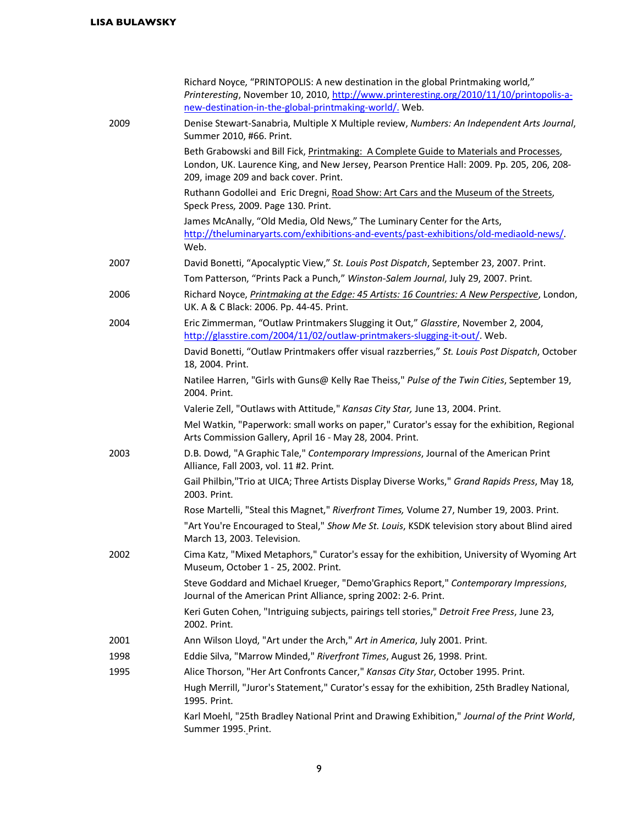|      | Richard Noyce, "PRINTOPOLIS: A new destination in the global Printmaking world,"<br>Printeresting, November 10, 2010, http://www.printeresting.org/2010/11/10/printopolis-a-                                                   |
|------|--------------------------------------------------------------------------------------------------------------------------------------------------------------------------------------------------------------------------------|
|      | new-destination-in-the-global-printmaking-world/. Web.                                                                                                                                                                         |
| 2009 | Denise Stewart-Sanabria, Multiple X Multiple review, Numbers: An Independent Arts Journal,<br>Summer 2010, #66. Print.                                                                                                         |
|      | Beth Grabowski and Bill Fick, Printmaking: A Complete Guide to Materials and Processes,<br>London, UK. Laurence King, and New Jersey, Pearson Prentice Hall: 2009. Pp. 205, 206, 208-<br>209, image 209 and back cover. Print. |
|      | Ruthann Godollei and Eric Dregni, Road Show: Art Cars and the Museum of the Streets,<br>Speck Press, 2009. Page 130. Print.                                                                                                    |
|      | James McAnally, "Old Media, Old News," The Luminary Center for the Arts,<br>http://theluminaryarts.com/exhibitions-and-events/past-exhibitions/old-mediaold-news/.<br>Web.                                                     |
| 2007 | David Bonetti, "Apocalyptic View," St. Louis Post Dispatch, September 23, 2007. Print.                                                                                                                                         |
|      | Tom Patterson, "Prints Pack a Punch," Winston-Salem Journal, July 29, 2007. Print.                                                                                                                                             |
| 2006 | Richard Noyce, Printmaking at the Edge: 45 Artists: 16 Countries: A New Perspective, London,                                                                                                                                   |
|      | UK. A & C Black: 2006. Pp. 44-45. Print.                                                                                                                                                                                       |
| 2004 | Eric Zimmerman, "Outlaw Printmakers Slugging it Out," Glasstire, November 2, 2004,<br>http://glasstire.com/2004/11/02/outlaw-printmakers-slugging-it-out/. Web.                                                                |
|      | David Bonetti, "Outlaw Printmakers offer visual razzberries," St. Louis Post Dispatch, October<br>18, 2004. Print.                                                                                                             |
|      | Natilee Harren, "Girls with Guns@ Kelly Rae Theiss," Pulse of the Twin Cities, September 19,<br>2004. Print.                                                                                                                   |
|      | Valerie Zell, "Outlaws with Attitude," Kansas City Star, June 13, 2004. Print.                                                                                                                                                 |
|      | Mel Watkin, "Paperwork: small works on paper," Curator's essay for the exhibition, Regional<br>Arts Commission Gallery, April 16 - May 28, 2004. Print.                                                                        |
| 2003 | D.B. Dowd, "A Graphic Tale," Contemporary Impressions, Journal of the American Print<br>Alliance, Fall 2003, vol. 11 #2. Print.                                                                                                |
|      | Gail Philbin, "Trio at UICA; Three Artists Display Diverse Works," Grand Rapids Press, May 18,<br>2003. Print.                                                                                                                 |
|      | Rose Martelli, "Steal this Magnet," Riverfront Times, Volume 27, Number 19, 2003. Print.                                                                                                                                       |
|      | "Art You're Encouraged to Steal," Show Me St. Louis, KSDK television story about Blind aired<br>March 13, 2003. Television.                                                                                                    |
| 2002 | Cima Katz, "Mixed Metaphors," Curator's essay for the exhibition, University of Wyoming Art<br>Museum, October 1 - 25, 2002. Print.                                                                                            |
|      | Steve Goddard and Michael Krueger, "Demo'Graphics Report," Contemporary Impressions,<br>Journal of the American Print Alliance, spring 2002: 2-6. Print.                                                                       |
|      | Keri Guten Cohen, "Intriguing subjects, pairings tell stories," Detroit Free Press, June 23,<br>2002. Print.                                                                                                                   |
| 2001 | Ann Wilson Lloyd, "Art under the Arch," Art in America, July 2001. Print.                                                                                                                                                      |
| 1998 | Eddie Silva, "Marrow Minded," Riverfront Times, August 26, 1998. Print.                                                                                                                                                        |
| 1995 | Alice Thorson, "Her Art Confronts Cancer," Kansas City Star, October 1995. Print.                                                                                                                                              |
|      | Hugh Merrill, "Juror's Statement," Curator's essay for the exhibition, 25th Bradley National,<br>1995. Print.                                                                                                                  |
|      | Karl Moehl, "25th Bradley National Print and Drawing Exhibition," Journal of the Print World,<br>Summer 1995. Print.                                                                                                           |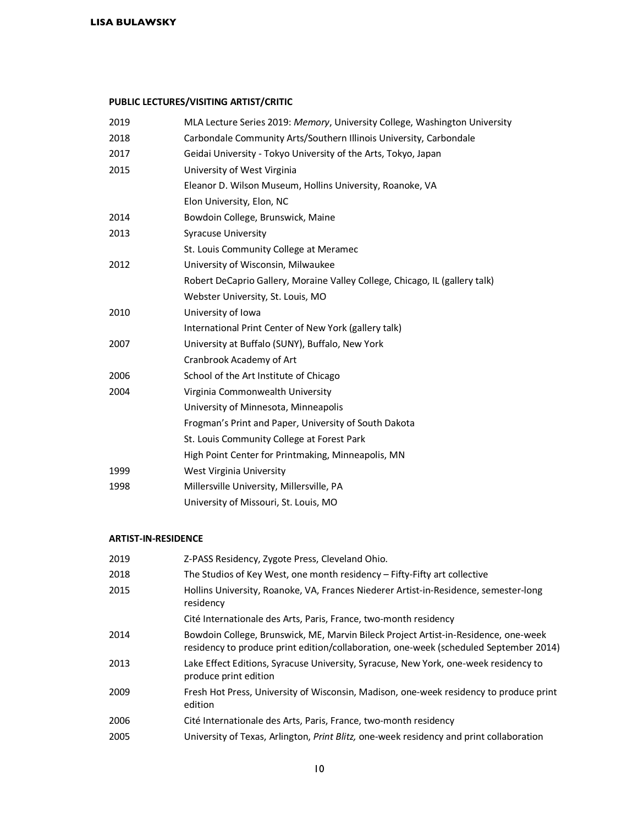# **PUBLIC LECTURES/VISITING ARTIST/CRITIC**

| 2019 | MLA Lecture Series 2019: Memory, University College, Washington University  |
|------|-----------------------------------------------------------------------------|
| 2018 | Carbondale Community Arts/Southern Illinois University, Carbondale          |
| 2017 | Geidai University - Tokyo University of the Arts, Tokyo, Japan              |
| 2015 | University of West Virginia                                                 |
|      | Eleanor D. Wilson Museum, Hollins University, Roanoke, VA                   |
|      | Elon University, Elon, NC                                                   |
| 2014 | Bowdoin College, Brunswick, Maine                                           |
| 2013 | <b>Syracuse University</b>                                                  |
|      | St. Louis Community College at Meramec                                      |
| 2012 | University of Wisconsin, Milwaukee                                          |
|      | Robert DeCaprio Gallery, Moraine Valley College, Chicago, IL (gallery talk) |
|      | Webster University, St. Louis, MO                                           |
| 2010 | University of Iowa                                                          |
|      | International Print Center of New York (gallery talk)                       |
| 2007 | University at Buffalo (SUNY), Buffalo, New York                             |
|      | Cranbrook Academy of Art                                                    |
| 2006 | School of the Art Institute of Chicago                                      |
| 2004 | Virginia Commonwealth University                                            |
|      | University of Minnesota, Minneapolis                                        |
|      | Frogman's Print and Paper, University of South Dakota                       |
|      | St. Louis Community College at Forest Park                                  |
|      | High Point Center for Printmaking, Minneapolis, MN                          |
| 1999 | West Virginia University                                                    |
| 1998 | Millersville University, Millersville, PA                                   |
|      | University of Missouri, St. Louis, MO                                       |

### **ARTIST-IN-RESIDENCE**

| 2019 | Z-PASS Residency, Zygote Press, Cleveland Ohio.                                                                                                                              |
|------|------------------------------------------------------------------------------------------------------------------------------------------------------------------------------|
| 2018 | The Studios of Key West, one month residency – Fifty-Fifty art collective                                                                                                    |
| 2015 | Hollins University, Roanoke, VA, Frances Niederer Artist-in-Residence, semester-long<br>residency                                                                            |
|      | Cité Internationale des Arts, Paris, France, two-month residency                                                                                                             |
| 2014 | Bowdoin College, Brunswick, ME, Marvin Bileck Project Artist-in-Residence, one-week<br>residency to produce print edition/collaboration, one-week (scheduled September 2014) |
| 2013 | Lake Effect Editions, Syracuse University, Syracuse, New York, one-week residency to<br>produce print edition                                                                |
| 2009 | Fresh Hot Press, University of Wisconsin, Madison, one-week residency to produce print<br>edition                                                                            |
| 2006 | Cité Internationale des Arts, Paris, France, two-month residency                                                                                                             |
| 2005 | University of Texas, Arlington, Print Blitz, one-week residency and print collaboration                                                                                      |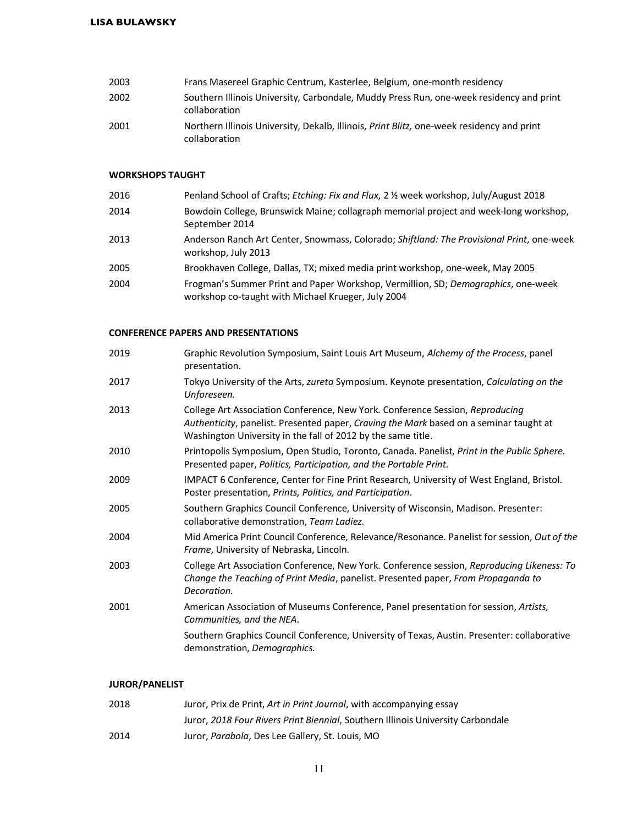| 2003 | Frans Masereel Graphic Centrum, Kasterlee, Belgium, one-month residency                                            |
|------|--------------------------------------------------------------------------------------------------------------------|
| 2002 | Southern Illinois University, Carbondale, Muddy Press Run, one-week residency and print<br>collaboration           |
| 2001 | Northern Illinois University, Dekalb, Illinois, <i>Print Blitz</i> , one-week residency and print<br>collaboration |

### **WORKSHOPS TAUGHT**

| 2016 | Penland School of Crafts; Etching: Fix and Flux, 2 1/2 week workshop, July/August 2018                                                  |
|------|-----------------------------------------------------------------------------------------------------------------------------------------|
| 2014 | Bowdoin College, Brunswick Maine; collagraph memorial project and week-long workshop,<br>September 2014                                 |
| 2013 | Anderson Ranch Art Center, Snowmass, Colorado; Shiftland: The Provisional Print, one-week<br>workshop, July 2013                        |
| 2005 | Brookhaven College, Dallas, TX; mixed media print workshop, one-week, May 2005                                                          |
| 2004 | Frogman's Summer Print and Paper Workshop, Vermillion, SD; Demographics, one-week<br>workshop co-taught with Michael Krueger, July 2004 |
|      |                                                                                                                                         |

### **CONFERENCE PAPERS AND PRESENTATIONS**

| 2019 | Graphic Revolution Symposium, Saint Louis Art Museum, Alchemy of the Process, panel<br>presentation.                                                                                                                                    |
|------|-----------------------------------------------------------------------------------------------------------------------------------------------------------------------------------------------------------------------------------------|
| 2017 | Tokyo University of the Arts, zureta Symposium. Keynote presentation, Calculating on the<br>Unforeseen.                                                                                                                                 |
| 2013 | College Art Association Conference, New York. Conference Session, Reproducing<br>Authenticity, panelist. Presented paper, Craving the Mark based on a seminar taught at<br>Washington University in the fall of 2012 by the same title. |
| 2010 | Printopolis Symposium, Open Studio, Toronto, Canada. Panelist, Print in the Public Sphere.<br>Presented paper, Politics, Participation, and the Portable Print.                                                                         |
| 2009 | IMPACT 6 Conference, Center for Fine Print Research, University of West England, Bristol.<br>Poster presentation, Prints, Politics, and Participation.                                                                                  |
| 2005 | Southern Graphics Council Conference, University of Wisconsin, Madison. Presenter:<br>collaborative demonstration, Team Ladiez.                                                                                                         |
| 2004 | Mid America Print Council Conference, Relevance/Resonance. Panelist for session, Out of the<br>Frame, University of Nebraska, Lincoln.                                                                                                  |
| 2003 | College Art Association Conference, New York. Conference session, Reproducing Likeness: To<br>Change the Teaching of Print Media, panelist. Presented paper, From Propaganda to<br>Decoration.                                          |
| 2001 | American Association of Museums Conference, Panel presentation for session, Artists,<br>Communities, and the NEA.                                                                                                                       |
|      | Southern Graphics Council Conference, University of Texas, Austin. Presenter: collaborative<br>demonstration, Demographics.                                                                                                             |
|      |                                                                                                                                                                                                                                         |

## **JUROR/PANELIST**

| 2018 | Juror, Prix de Print, Art in Print Journal, with accompanying essay             |
|------|---------------------------------------------------------------------------------|
|      | Juror, 2018 Four Rivers Print Biennial, Southern Illinois University Carbondale |
| 2014 | Juror, Parabola, Des Lee Gallery, St. Louis, MO                                 |